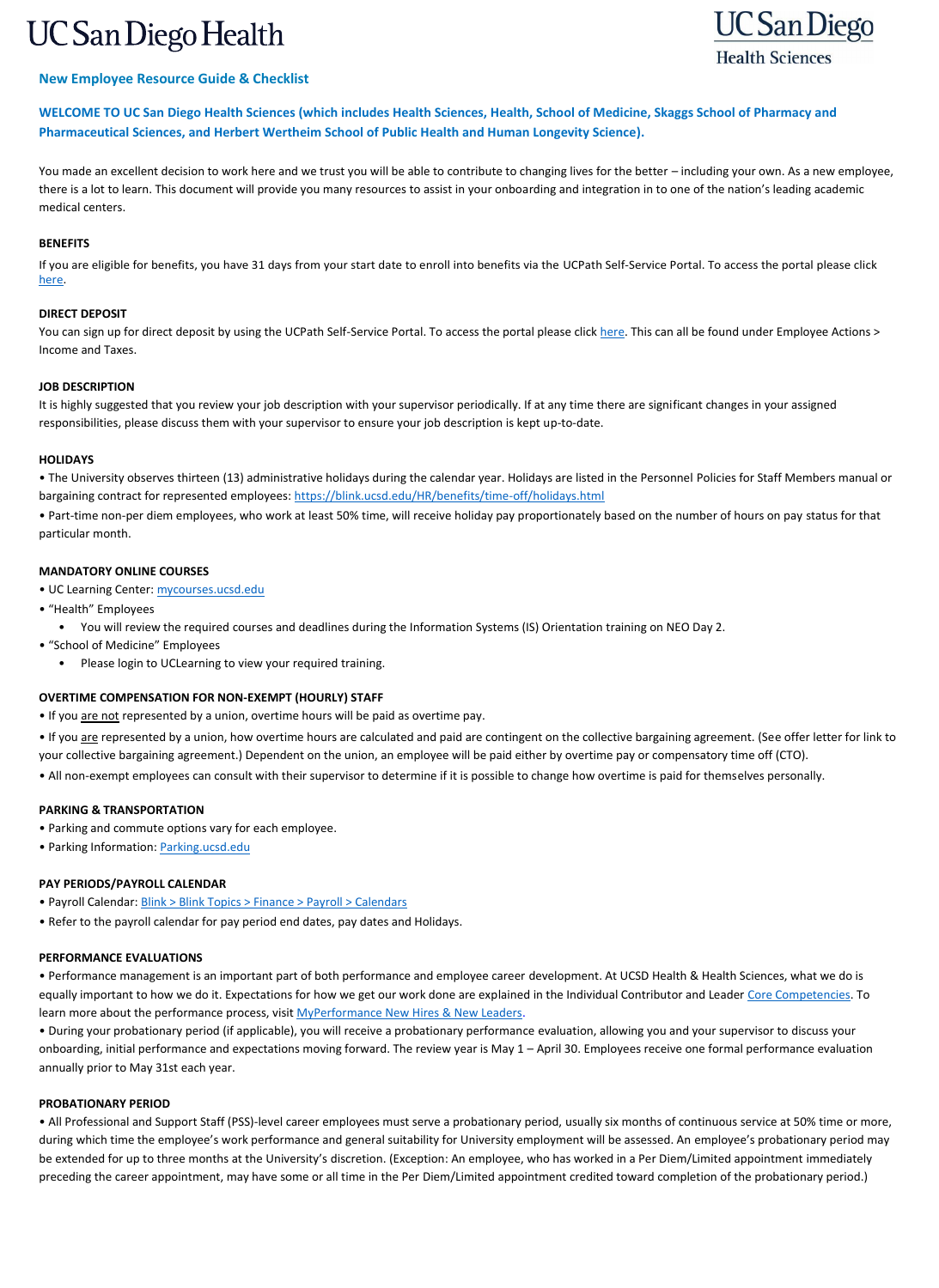# **UC San Diego Health**



# **New Employee Resource Guide & Checklist**

**WELCOME TO UC San Diego Health Sciences (which includes Health Sciences, Health, School of Medicine, Skaggs School of Pharmacy and Pharmaceutical Sciences, and Herbert Wertheim School of Public Health and Human Longevity Science).**

You made an excellent decision to work here and we trust you will be able to contribute to changing lives for the better – including your own. As a new employee, there is a lot to learn. This document will provide you many resources to assist in your onboarding and integration in to one of the nation's leading academic medical centers.

You can sign up for direct deposit by using the UCPath Self-Service Portal. To access the portal please click [here.](https://ucpath.universityofcalifornia.edu/) This can all be found under Employee Actions > Income and Taxes.

# **BENEFITS**

If you are eligible for benefits, you have 31 days from your start date to enroll into benefits via the UCPath Self-Service Portal. To access the portal please click [here.](https://ucpath.universityofcalifornia.edu/)

# **DIRECT DEPOSIT**

# **JOB DESCRIPTION**

It is highly suggested that you review your job description with your supervisor periodically. If at any time there are significant changes in your assigned responsibilities, please discuss them with your supervisor to ensure your job description is kept up-to-date.

# **HOLIDAYS**

- Parking and commute options vary for each employee.
- Parking Information: [Parking.ucsd.edu](https://transportation.ucsd.edu/)

• The University observes thirteen (13) administrative holidays during the calendar year. Holidays are listed in the Personnel Policies for Staff Members manual or bargaining contract for represented employees:<https://blink.ucsd.edu/HR/benefits/time-off/holidays.html>

• Performance management is an important part of both performance and employee career development. At UCSD Health & Health Sciences, what we do is equally important to how we do it. Expectations for how we get our work done are explained in the Individual Contributor and Leader [Core Competencies.](https://pulse.ucsd.edu/departments/human-resources/myperformance/Pages/core-competencies.aspx) To learn more about the performance process, visit [MyPerformance New Hires & New Leaders.](https://pulse.ucsd.edu/departments/human-resources/myperformance/Pages/new-hires.aspx)

• Part-time non-per diem employees, who work at least 50% time, will receive holiday pay proportionately based on the number of hours on pay status for that particular month.

# **MANDATORY ONLINE COURSES**

- UC Learning Center: [mycourses.ucsd.edu](https://uchealth.service-now.com/guest?id=uclc)
- "Health" Employees
	- You will review the required courses and deadlines during the Information Systems (IS) Orientation training on NEO Day 2.
- "School of Medicine" Employees
	- Please login to UCLearning to view your required training.

# **OVERTIME COMPENSATION FOR NON-EXEMPT (HOURLY) STAFF**

- If you are not represented by a union, overtime hours will be paid as overtime pay.
- If you are represented by a union, how overtime hours are calculated and paid are contingent on the collective bargaining agreement. (See offer letter for link to your collective bargaining agreement.) Dependent on the union, an employee will be paid either by overtime pay or compensatory time off (CTO).
- All non-exempt employees can consult with their supervisor to determine if it is possible to change how overtime is paid for themselves personally.

# **PARKING & TRANSPORTATION**

# **PAY PERIODS/PAYROLL CALENDAR**

- Payroll Calendar: [Blink > Blink Topics > Finance > Payroll > Calendars](https://blink.ucsd.edu/finance/payroll/calendars.html)
- Refer to the payroll calendar for pay period end dates, pay dates and Holidays.

# **PERFORMANCE EVALUATIONS**

• During your probationary period (if applicable), you will receive a probationary performance evaluation, allowing you and your supervisor to discuss your onboarding, initial performance and expectations moving forward. The review year is May 1 – April 30. Employees receive one formal performance evaluation annually prior to May 31st each year.

#### **PROBATIONARY PERIOD**

• All Professional and Support Staff (PSS)-level career employees must serve a probationary period, usually six months of continuous service at 50% time or more, during which time the employee's work performance and general suitability for University employment will be assessed. An employee's probationary period may be extended for up to three months at the University's discretion. (Exception: An employee, who has worked in a Per Diem/Limited appointment immediately preceding the career appointment, may have some or all time in the Per Diem/Limited appointment credited toward completion of the probationary period.)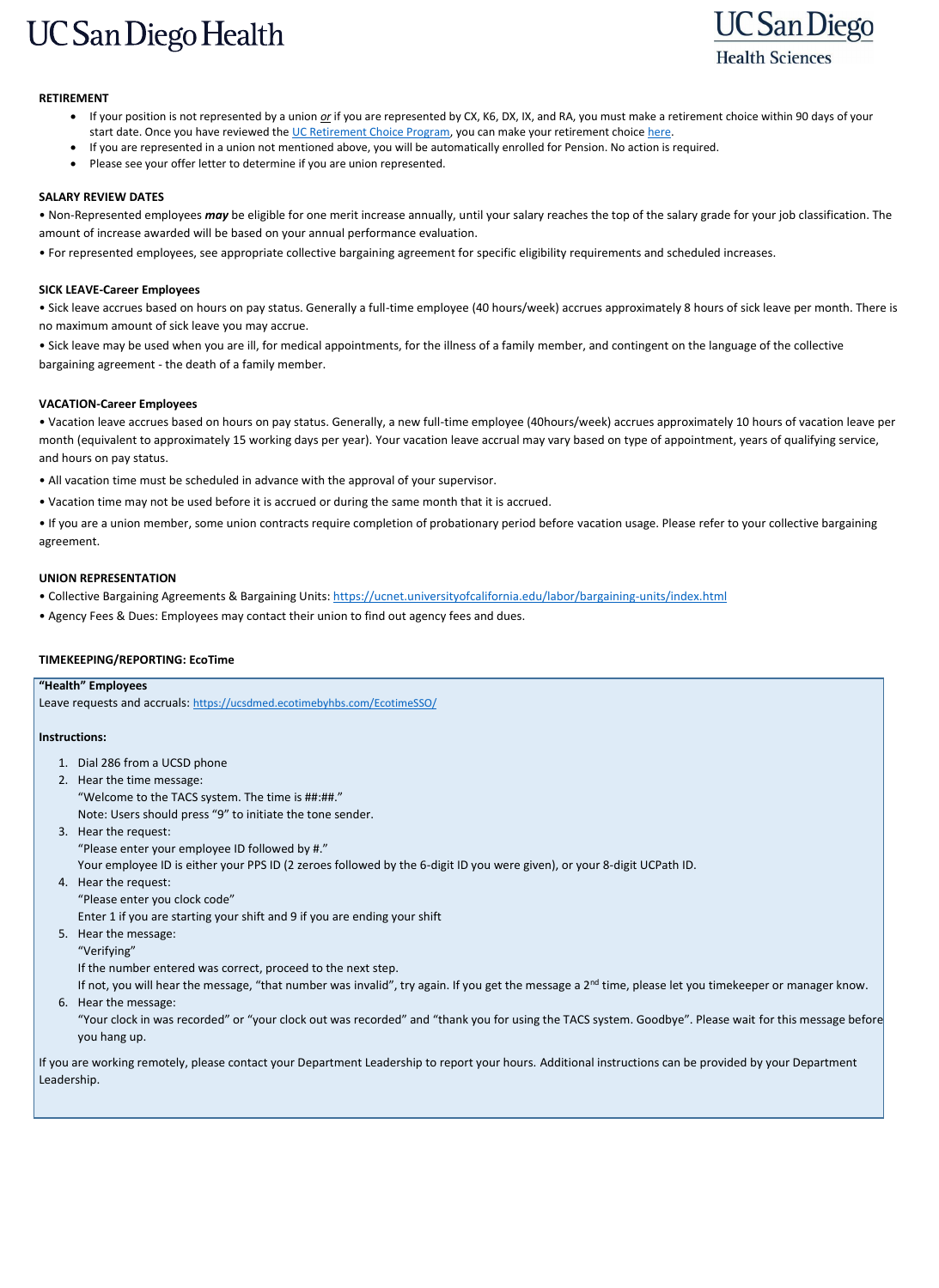# **UC San Diego Health**



# **RETIREMENT**

- If your position is not represented by a union *or* if you are represented by CX, K6, DX, IX, and RA, you must make a retirement choice within 90 days of your start date. Once you have reviewed the [UC Retirement Choice Program,](https://ucnet.universityofcalifornia.edu/compensation-and-benefits/retirement-benefits/2016-retirement-choice/index.html) you can make your retirement choice [here.](https://ucnet.universityofcalifornia.edu/compensation-and-benefits/retirement-benefits/index.html)
- If you are represented in a union not mentioned above, you will be automatically enrolled for Pension. No action is required.
- Please see your offer letter to determine if you are union represented.

# **SALARY REVIEW DATES**

• Non-Represented employees *may* be eligible for one merit increase annually, until your salary reaches the top of the salary grade for your job classification. The amount of increase awarded will be based on your annual performance evaluation.

• For represented employees, see appropriate collective bargaining agreement for specific eligibility requirements and scheduled increases.

# **SICK LEAVE-Career Employees**

• Sick leave accrues based on hours on pay status. Generally a full-time employee (40 hours/week) accrues approximately 8 hours of sick leave per month. There is no maximum amount of sick leave you may accrue.

• Sick leave may be used when you are ill, for medical appointments, for the illness of a family member, and contingent on the language of the collective bargaining agreement - the death of a family member.

# **VACATION-Career Employees**

• Vacation leave accrues based on hours on pay status. Generally, a new full-time employee (40hours/week) accrues approximately 10 hours of vacation leave per month (equivalent to approximately 15 working days per year). Your vacation leave accrual may vary based on type of appointment, years of qualifying service, and hours on pay status.

- If not, you will hear the message, "that number was invalid", try again. If you get the message a 2<sup>nd</sup> time, please let you timekeeper or manager know.
- 6. Hear the message:
	- "Your clock in was recorded" or "your clock out was recorded" and "thank you for using the TACS system. Goodbye". Please wait for this message before you hang up.
- All vacation time must be scheduled in advance with the approval of your supervisor.
- Vacation time may not be used before it is accrued or during the same month that it is accrued.

• If you are a union member, some union contracts require completion of probationary period before vacation usage. Please refer to your collective bargaining agreement.

# **UNION REPRESENTATION**

• Collective Bargaining Agreements & Bargaining Units:<https://ucnet.universityofcalifornia.edu/labor/bargaining-units/index.html>

• Agency Fees & Dues: Employees may contact their union to find out agency fees and dues.

# **TIMEKEEPING/REPORTING: EcoTime**

# **"Health" Employees**  Leave requests and accruals: <https://ucsdmed.ecotimebyhbs.com/EcotimeSSO/> **Instructions:**  1. Dial 286 from a UCSD phone 2. Hear the time message: "Welcome to the TACS system. The time is ##:##." Note: Users should press "9" to initiate the tone sender. 3. Hear the request: "Please enter your employee ID followed by #." Your employee ID is either your PPS ID (2 zeroes followed by the 6-digit ID you were given), or your 8-digit UCPath ID. 4. Hear the request: "Please enter you clock code" Enter 1 if you are starting your shift and 9 if you are ending your shift

- 5. Hear the message:
	- "Verifying"

If the number entered was correct, proceed to the next step.

If you are working remotely, please contact your Department Leadership to report your hours. Additional instructions can be provided by your Department Leadership.